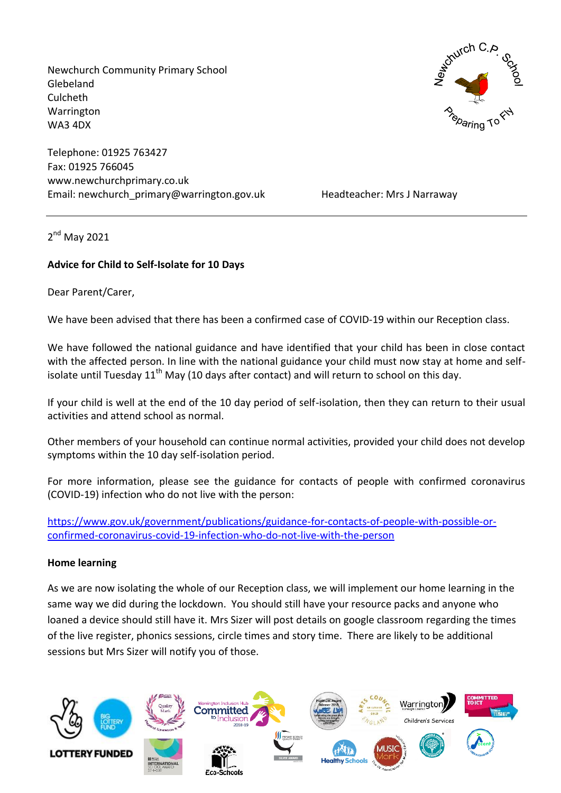Newchurch Community Primary School Glebeland Culcheth Warrington WA3 4DX

Telephone: 01925 763427 Fax: 01925 766045 www.newchurchprimary.co.uk Email: newchurch primary@warrington.gov.uk Headteacher: Mrs J Narraway

2<sup>nd</sup> May 2021

# **Advice for Child to Self-Isolate for 10 Days**

Dear Parent/Carer,

We have been advised that there has been a confirmed case of COVID-19 within our Reception class.

We have followed the national guidance and have identified that your child has been in close contact with the affected person. In line with the national guidance your child must now stay at home and selfisolate until Tuesday  $11<sup>th</sup>$  May (10 days after contact) and will return to school on this day.

If your child is well at the end of the 10 day period of self-isolation, then they can return to their usual activities and attend school as normal.

Other members of your household can continue normal activities, provided your child does not develop symptoms within the 10 day self-isolation period.

For more information, please see the guidance for contacts of people with confirmed coronavirus (COVID-19) infection who do not live with the person:

[https://www.gov.uk/government/publications/guidance-for-contacts-of-people-with-possible-or](https://www.gov.uk/government/publications/guidance-for-contacts-of-people-with-possible-or-confirmed-coronavirus-covid-19-infection-who-do-not-live-with-the-person)[confirmed-coronavirus-covid-19-infection-who-do-not-live-with-the-person](https://www.gov.uk/government/publications/guidance-for-contacts-of-people-with-possible-or-confirmed-coronavirus-covid-19-infection-who-do-not-live-with-the-person)

#### **Home learning**

As we are now isolating the whole of our Reception class, we will implement our home learning in the same way we did during the lockdown. You should still have your resource packs and anyone who loaned a device should still have it. Mrs Sizer will post details on google classroom regarding the times of the live register, phonics sessions, circle times and story time. There are likely to be additional sessions but Mrs Sizer will notify you of those.



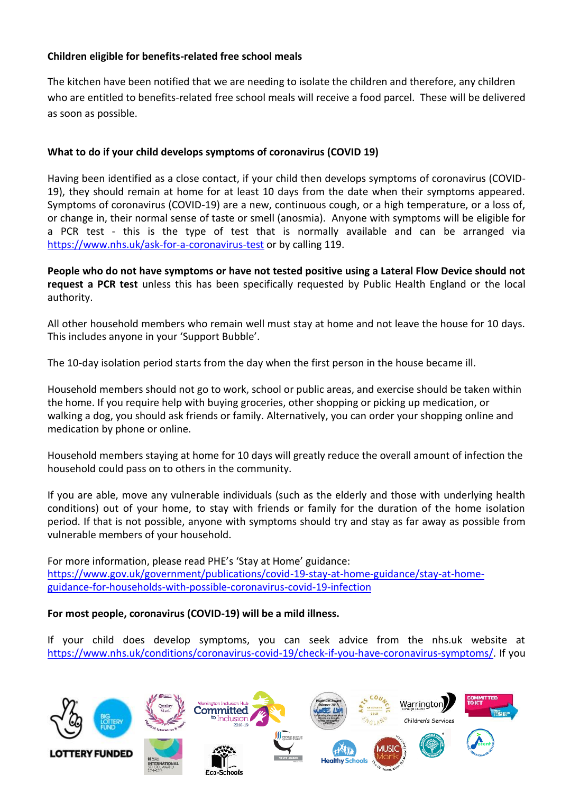# **Children eligible for benefits-related free school meals**

The kitchen have been notified that we are needing to isolate the children and therefore, any children who are entitled to benefits-related free school meals will receive a food parcel. These will be delivered as soon as possible.

# **What to do if your child develops symptoms of coronavirus (COVID 19)**

Having been identified as a close contact, if your child then develops symptoms of coronavirus (COVID-19), they should remain at home for at least 10 days from the date when their symptoms appeared. Symptoms of coronavirus (COVID-19) are a new, continuous cough, or a high temperature, or a loss of, or change in, their normal sense of taste or smell (anosmia). Anyone with symptoms will be eligible for a PCR test - this is the type of test that is normally available and can be arranged via <https://www.nhs.uk/ask-for-a-coronavirus-test> or by calling 119.

**People who do not have symptoms or have not tested positive using a Lateral Flow Device should not request a PCR test** unless this has been specifically requested by Public Health England or the local authority.

All other household members who remain well must stay at home and not leave the house for 10 days. This includes anyone in your 'Support Bubble'.

The 10-day isolation period starts from the day when the first person in the house became ill.

Household members should not go to work, school or public areas, and exercise should be taken within the home. If you require help with buying groceries, other shopping or picking up medication, or walking a dog, you should ask friends or family. Alternatively, you can order your shopping online and medication by phone or online.

Household members staying at home for 10 days will greatly reduce the overall amount of infection the household could pass on to others in the community.

If you are able, move any vulnerable individuals (such as the elderly and those with underlying health conditions) out of your home, to stay with friends or family for the duration of the home isolation period. If that is not possible, anyone with symptoms should try and stay as far away as possible from vulnerable members of your household.

For more information, please read PHE's 'Stay at Home' guidance: [https://www.gov.uk/government/publications/covid-19-stay-at-home-guidance/stay-at-home](https://www.gov.uk/government/publications/covid-19-stay-at-home-guidance/stay-at-home-guidance-for-households-with-possible-coronavirus-covid-19-infection)[guidance-for-households-with-possible-coronavirus-covid-19-infection](https://www.gov.uk/government/publications/covid-19-stay-at-home-guidance/stay-at-home-guidance-for-households-with-possible-coronavirus-covid-19-infection)

## **For most people, coronavirus (COVID-19) will be a mild illness.**

If your child does develop symptoms, you can seek advice from the nhs.uk website at [https://www.nhs.uk/conditions/coronavirus-covid-19/check-if-you-have-coronavirus-symptoms/.](https://www.nhs.uk/conditions/coronavirus-covid-19/check-if-you-have-coronavirus-symptoms/) If you